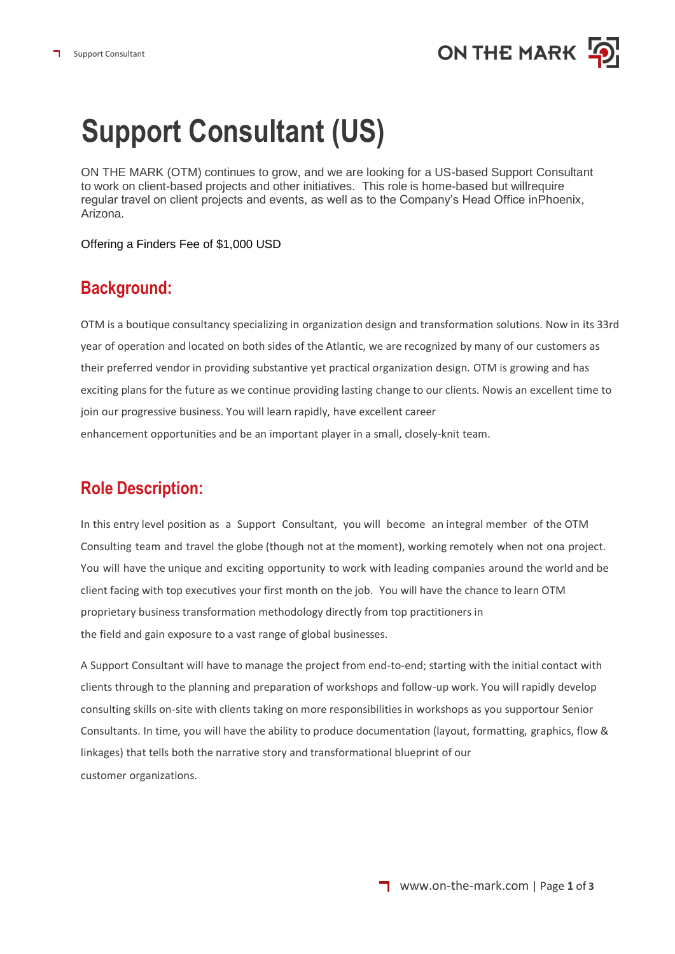# **Support Consultant (US)**

ON THE MARK (OTM) continues to grow, and we are looking for a US-based Support Consultant to work on client-based projects and other initiatives. This role is home-based but willrequire regular travel on client projects and events, as well as to the Company's Head Office inPhoenix, Arizona.

Offering a Finders Fee of \$1,000 USD

#### **Background:**

OTM is a boutique consultancy specializing in organization design and transformation solutions. Now in its 33rd year of operation and located on both sides of the Atlantic, we are recognized by many of our customers as their preferred vendor in providing substantive yet practical organization design. OTM is growing and has exciting plans for the future as we continue providing lasting change to our clients. Nowis an excellent time to join our progressive business. You will learn rapidly, have excellent career enhancement opportunities and be an important player in a small, closely-knit team.

### **Role Description:**

In this entry level position as a Support Consultant, you will become an integral member of the OTM Consulting team and travel the globe (though not at the moment), working remotely when not ona project. You will have the unique and exciting opportunity to work with leading companies around the world and be client facing with top executives your first month on the job. You will have the chance to learn OTM proprietary business transformation methodology directly from top practitioners in the field and gain exposure to a vast range of global businesses.

A Support Consultant will have to manage the project from end-to-end; starting with the initial contact with clients through to the planning and preparation of workshops and follow-up work. You will rapidly develop consulting skills on-site with clients taking on more responsibilities in workshops as you supportour Senior Consultants. In time, you will have the ability to produce documentation (layout, formatting, graphics, flow & linkages) that tells both the narrative story and transformational blueprint of our customer organizations.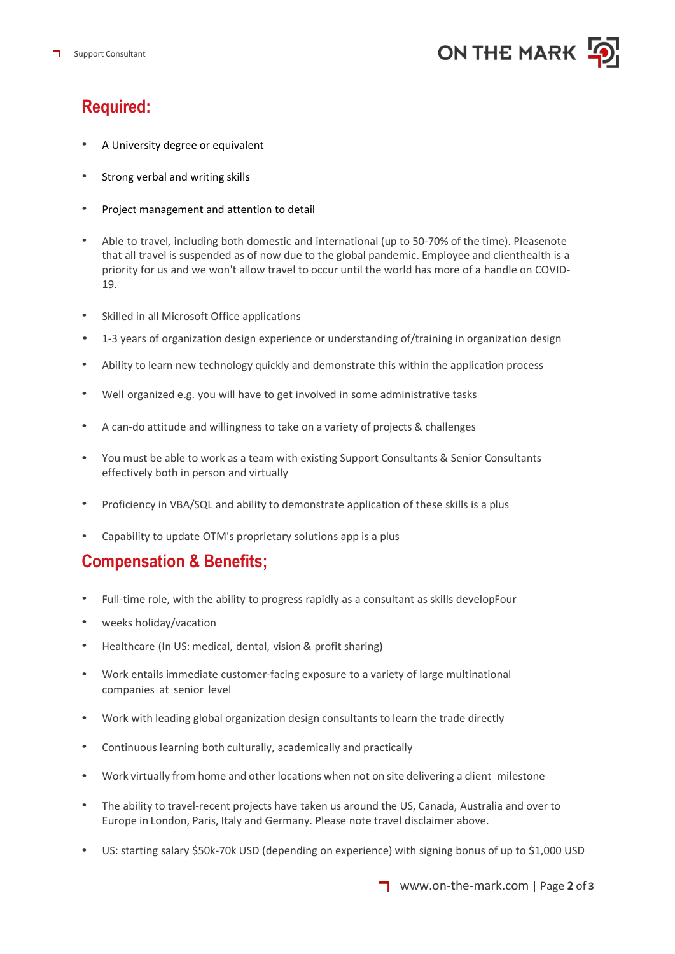

#### **Required:**

- A University degree or equivalent
- Strong verbal and writing skills
- Project management and attention to detail
- Able to travel, including both domestic and international (up to 50-70% of the time). Pleasenote that all travel is suspended as of now due to the global pandemic. Employee and clienthealth is a priority for us and we won't allow travel to occur until the world has more of a handle on COVID-19.
- Skilled in all Microsoft Office applications
- 1-3 years of organization design experience or understanding of/training in organization design
- Ability to learn new technology quickly and demonstrate this within the application process
- Well organized e.g. you will have to get involved in some administrative tasks
- A can-do attitude and willingness to take on a variety of projects & challenges
- You must be able to work as a team with existing Support Consultants & Senior Consultants effectively both in person and virtually
- Proficiency in VBA/SQL and ability to demonstrate application of these skills is a plus
- Capability to update OTM's proprietary solutions app is a plus

#### **Compensation & Benefits;**

- Full-time role, with the ability to progress rapidly as a consultant as skills developFour
- weeks holiday/vacation
- Healthcare (In US: medical, dental, vision & profit sharing)
- Work entails immediate customer-facing exposure to a variety of large multinational companies at senior level
- Work with leading global organization design consultants to learn the trade directly
- Continuous learning both culturally, academically and practically
- Work virtually from home and other locations when not on site delivering a client milestone
- The ability to travel-recent projects have taken us around the US, Canada, Australia and over to Europe in London, Paris, Italy and Germany. Please note travel disclaimer above.
- US: starting salary \$50k-70k USD (depending on experience) with signing bonus of up to \$1,000 USD